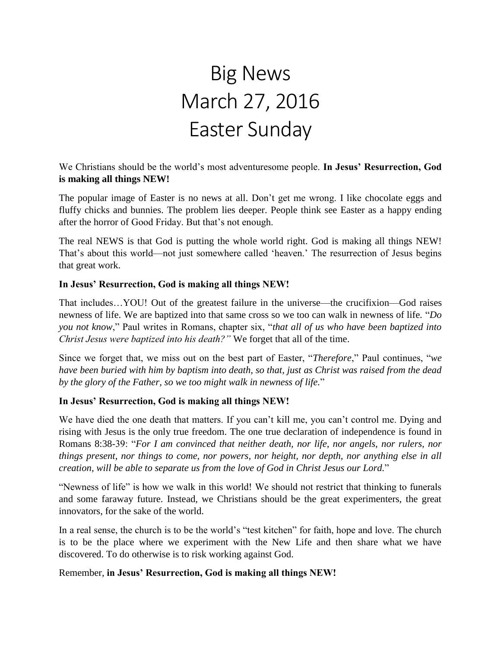# Big News March 27, 2016 Easter Sunday

We Christians should be the world's most adventuresome people. **In Jesus' Resurrection, God is making all things NEW!**

The popular image of Easter is no news at all. Don't get me wrong. I like chocolate eggs and fluffy chicks and bunnies. The problem lies deeper. People think see Easter as a happy ending after the horror of Good Friday. But that's not enough.

The real NEWS is that God is putting the whole world right. God is making all things NEW! That's about this world—not just somewhere called 'heaven.' The resurrection of Jesus begins that great work.

#### **In Jesus' Resurrection, God is making all things NEW!**

That includes…YOU! Out of the greatest failure in the universe—the crucifixion—God raises newness of life. We are baptized into that same cross so we too can walk in newness of life. "*Do you not know*," Paul writes in Romans, chapter six, "*that all of us who have been baptized into Christ Jesus were baptized into his death?"* We forget that all of the time.

Since we forget that, we miss out on the best part of Easter, "*Therefore*," Paul continues, "*we have been buried with him by baptism into death, so that, just as Christ was raised from the dead by the glory of the Father, so we too might walk in newness of life.*"

#### **In Jesus' Resurrection, God is making all things NEW!**

We have died the one death that matters. If you can't kill me, you can't control me. Dying and rising with Jesus is the only true freedom. The one true declaration of independence is found in Romans 8:38-39: "*For I am convinced that neither death, nor life, nor angels, nor rulers, nor things present, nor things to come, nor powers, nor height, nor depth, nor anything else in all creation, will be able to separate us from the love of God in Christ Jesus our Lord.*"

"Newness of life" is how we walk in this world! We should not restrict that thinking to funerals and some faraway future. Instead, we Christians should be the great experimenters, the great innovators, for the sake of the world.

In a real sense, the church is to be the world's "test kitchen" for faith, hope and love. The church is to be the place where we experiment with the New Life and then share what we have discovered. To do otherwise is to risk working against God.

#### Remember, **in Jesus' Resurrection, God is making all things NEW!**